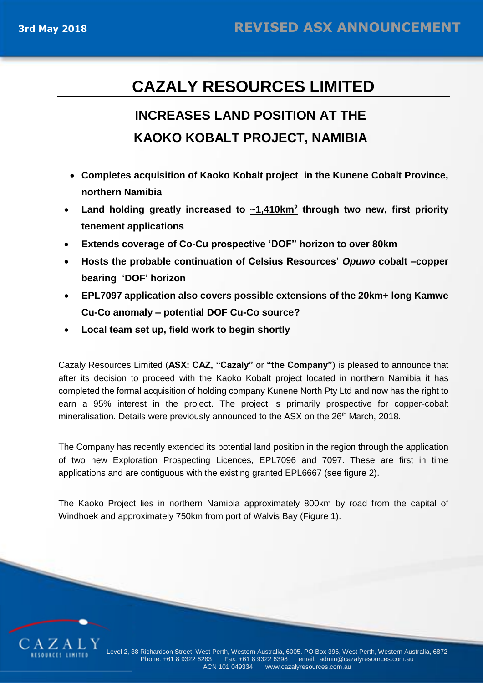# **CAZALY RESOURCES LIMITED**

# **INCREASES LAND POSITION AT THE KAOKO KOBALT PROJECT, NAMIBIA**

- **Completes acquisition of Kaoko Kobalt project in the Kunene Cobalt Province, northern Namibia**
- Land holding greatly increased to  $\frac{1.410 \text{ km}^2}{2}$  through two new, first priority **tenement applications**
- **Extends coverage of Co-Cu prospective 'DOF" horizon to over 80km**
- **Hosts the probable continuation of Celsius Resources'** *Opuwo* **cobalt –copper bearing 'DOF' horizon**
- **EPL7097 application also covers possible extensions of the 20km+ long Kamwe Cu-Co anomaly – potential DOF Cu-Co source?**
- **Local team set up, field work to begin shortly**

Cazaly Resources Limited (**ASX: CAZ, "Cazaly"** or **"the Company"**) is pleased to announce that after its decision to proceed with the Kaoko Kobalt project located in northern Namibia it has completed the formal acquisition of holding company Kunene North Pty Ltd and now has the right to earn a 95% interest in the project. The project is primarily prospective for copper-cobalt mineralisation. Details were previously announced to the ASX on the 26<sup>th</sup> March, 2018.

The Company has recently extended its potential land position in the region through the application of two new Exploration Prospecting Licences, EPL7096 and 7097. These are first in time applications and are contiguous with the existing granted EPL6667 (see figure 2).

The Kaoko Project lies in northern Namibia approximately 800km by road from the capital of Windhoek and approximately 750km from port of Walvis Bay (Figure 1).

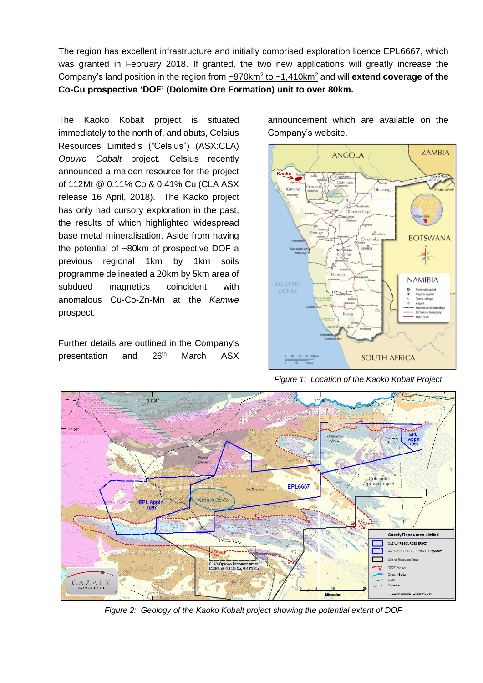The region has excellent infrastructure and initially comprised exploration licence EPL6667, which was granted in February 2018. If granted, the two new applications will greatly increase the Company's land position in the region from  $\frac{970 \text{km}^2}{2}$  to  $\frac{1.410 \text{km}^2}{2}$  and will **extend coverage of the Co-Cu prospective 'DOF' (Dolomite Ore Formation) unit to over 80km.**

The Kaoko Kobalt project is situated immediately to the north of, and abuts, Celsius Resources Limited's ("Celsius") (ASX:CLA) *Opuwo Cobalt* project. Celsius recently announced a maiden resource for the project of 112Mt @ 0.11% Co & 0.41% Cu (CLA ASX release 16 April, 2018). The Kaoko project has only had cursory exploration in the past, the results of which highlighted widespread base metal mineralisation. Aside from having the potential of ~80km of prospective DOF a previous regional 1km by 1km soils programme delineated a 20km by 5km area of subdued magnetics coincident with anomalous Cu-Co-Zn-Mn at the *Kamwe*  prospect.

Further details are outlined in the Company's presentation and 26<sup>th</sup> March ASX announcement which are available on the Company's website.



*Figure 1: Location of the Kaoko Kobalt Project*



*Figure 2: Geology of the Kaoko Kobalt project showing the potential extent of DOF*